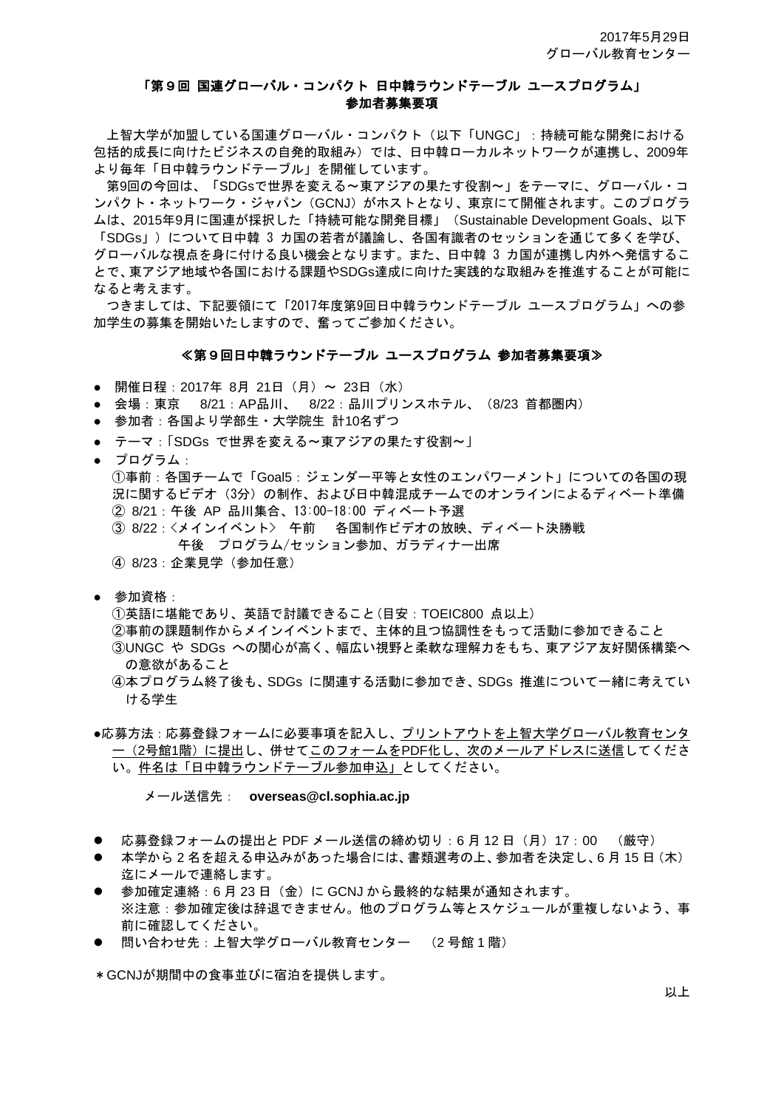### 「第9回 国連グローバル・コンパクト 日中韓ラウンドテーブル ユースプログラム」 参加者募集要項

上智大学が加盟している国連グローバル・コンパクト(以下「UNGC」:持続可能な開発における 包括的成長に向けたビジネスの自発的取組み)では、日中韓ローカルネットワークが連携し、2009年 より毎年「日中韓ラウンドテーブル」を開催しています。

第9回の今回は、「SDGsで世界を変える~東アジアの果たす役割~」をテーマに、グローバル・コ ンパクト・ネットワーク・ジャパン(GCNJ)がホストとなり、東京にて開催されます。このプログラ ムは、2015年9月に国連が採択した「持続可能な開発目標」(Sustainable Development Goals、以下 「SDGs」)について日中韓 3 カ国の若者が議論し、各国有識者のセッションを通じて多くを学び、 グローバルな視点を身に付ける良い機会となります。また、日中韓 3 カ国が連携し内外へ発信するこ とで、東アジア地域や各国における課題やSDGs達成に向けた実践的な取組みを推進することが可能に なると考えます。

つきましては、下記要領にて「2017年度第9回日中韓ラウンドテーブル ユースプログラム」への参 加学生の募集を開始いたしますので、奮ってご参加ください。

#### ≪第9回日中韓ラウンドテーブル ユースプログラム 参加者墓集要項≫

- 開催日程: 2017年 8月 21日 (月) ~ 23日 (水)
- 会場:東京 8/21:AP品川、 8/22:品川プリンスホテル、(8/23 首都圏内)
- 参加者:各国より学部生・大学院生 計10名ずつ
- テーマ:「SDGs で世界を変える~東アジアの果たす役割~」
- プログラム:

①事前:各国チームで「Goal5:ジェンダー平等と女性のエンパワーメント」についての各国の現 況に関するビデオ (3分) の制作、および日中韓混成チームでのオンラインによるディベート準備 ② 8/21:午後 AP 品川集合、13:00-18:00 ディベート予選

- ③ 8/22:<メインイベント> 午前 各国制作ビデオの放映、ディベート決勝戦 午後 プログラム/セッション参加、ガラディナー出席
- ④ 8/23:企業見学(参加任意)
- 参加資格:

①英語に堪能であり、英語で討議できること(目安:TOEIC800 点以上) ②事前の課題制作からメインイベントまで、主体的且つ協調性をもって活動に参加できること ③UNGC や SDGs への関心が高く、幅広い視野と柔軟な理解力をもち、東アジア友好関係構築へ の意欲があること

④本プログラム終了後も、SDGs に関連する活動に参加でき、SDGs 推進について一緒に考えてい ける学生

●応募方法:応募登録フォームに必要事項を記入し、プリントアウトを上智大学グローバル教育センタ ー(2号館1階)に提出し、併せてこのフォームをPDF化し、次のメールアドレスに送信してくださ い。件名は「日中韓ラウンドテーブル参加申込」としてください。

メール送信先: **overseas@cl.sophia.ac.jp**

- 応募登録フォームの提出と PDF メール送信の締め切り : 6 月 12 日(月)17 : 00 (厳守)
- 本学から 2 名を超える申込みがあった場合には、書類選考の上、参加者を決定し、6 月 15 日(木) 迄にメールで連絡します。
- 参加確定連絡:6月23日 (金)に GCNJ から最終的な結果が通知されます。 ※注意:参加確定後は辞退できません。他のプログラム等とスケジュールが重複しないよう、事 前に確認してください。
- 問い合わせ先:上智大学グローバル教育センター (2 号館 1 階)

\*GCNJが期間中の食事並びに宿泊を提供します。